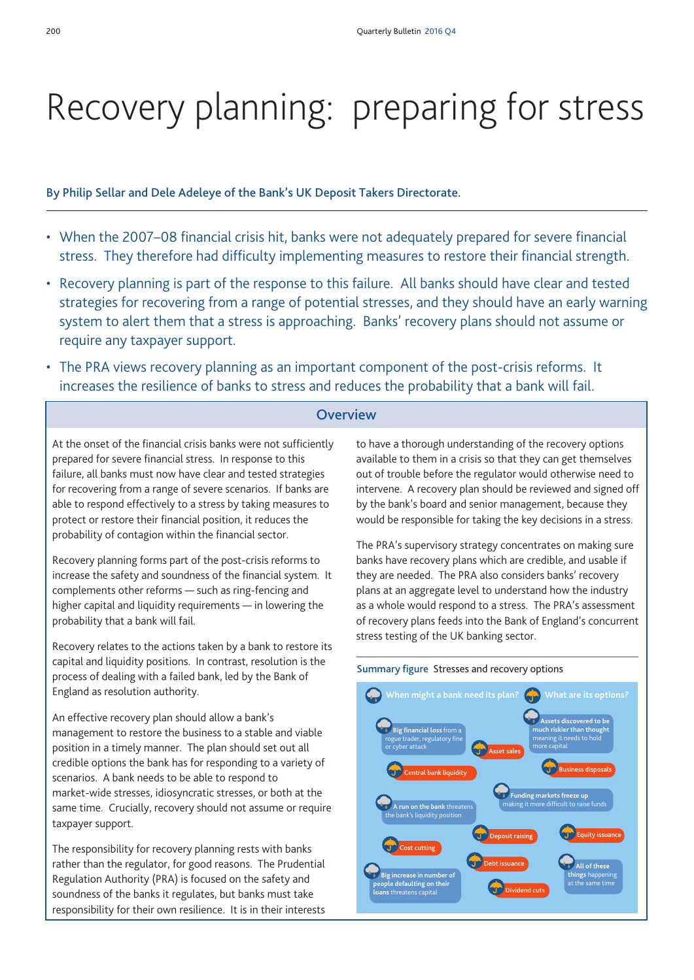# Recovery planning: preparing for stress

By Philip Sellar and Dele Adeleye of the Bank's UK Deposit Takers Directorate.

- When the 2007–08 financial crisis hit, banks were not adequately prepared for severe financial stress. They therefore had difficulty implementing measures to restore their financial strength.
- Recovery planning is part of the response to this failure. All banks should have clear and tested strategies for recovering from a range of potential stresses, and they should have an early warning system to alert them that a stress is approaching. Banks' recovery plans should not assume or require any taxpayer support.
- The PRA views recovery planning as an important component of the post-crisis reforms. It increases the resilience of banks to stress and reduces the probability that a bank will fail.

## **Overview**

At the onset of the financial crisis banks were not sufficiently prepared for severe financial stress. In response to this failure, all banks must now have clear and tested strategies for recovering from a range of severe scenarios. If banks are able to respond effectively to a stress by taking measures to protect or restore their financial position, it reduces the probability of contagion within the financial sector.

Recovery planning forms part of the post-crisis reforms to increase the safety and soundness of the financial system. It complements other reforms — such as ring-fencing and higher capital and liquidity requirements — in lowering the probability that a bank will fail.

Recovery relates to the actions taken by a bank to restore its capital and liquidity positions. In contrast, resolution is the process of dealing with a failed bank, led by the Bank of England as resolution authority.

An effective recovery plan should allow a bank's management to restore the business to a stable and viable position in a timely manner. The plan should set out all credible options the bank has for responding to a variety of scenarios. A bank needs to be able to respond to market-wide stresses, idiosyncratic stresses, or both at the same time. Crucially, recovery should not assume or require taxpayer support.

The responsibility for recovery planning rests with banks rather than the regulator, for good reasons. The Prudential Regulation Authority (PRA) is focused on the safety and soundness of the banks it regulates, but banks must take responsibility for their own resilience. It is in their interests

to have a thorough understanding of the recovery options available to them in a crisis so that they can get themselves out of trouble before the regulator would otherwise need to intervene. A recovery plan should be reviewed and signed off by the bank's board and senior management, because they would be responsible for taking the key decisions in a stress.

The PRA's supervisory strategy concentrates on making sure banks have recovery plans which are credible, and usable if they are needed. The PRA also considers banks' recovery plans at an aggregate level to understand how the industry as a whole would respond to a stress. The PRA's assessment of recovery plans feeds into the Bank of England's concurrent stress testing of the UK banking sector.

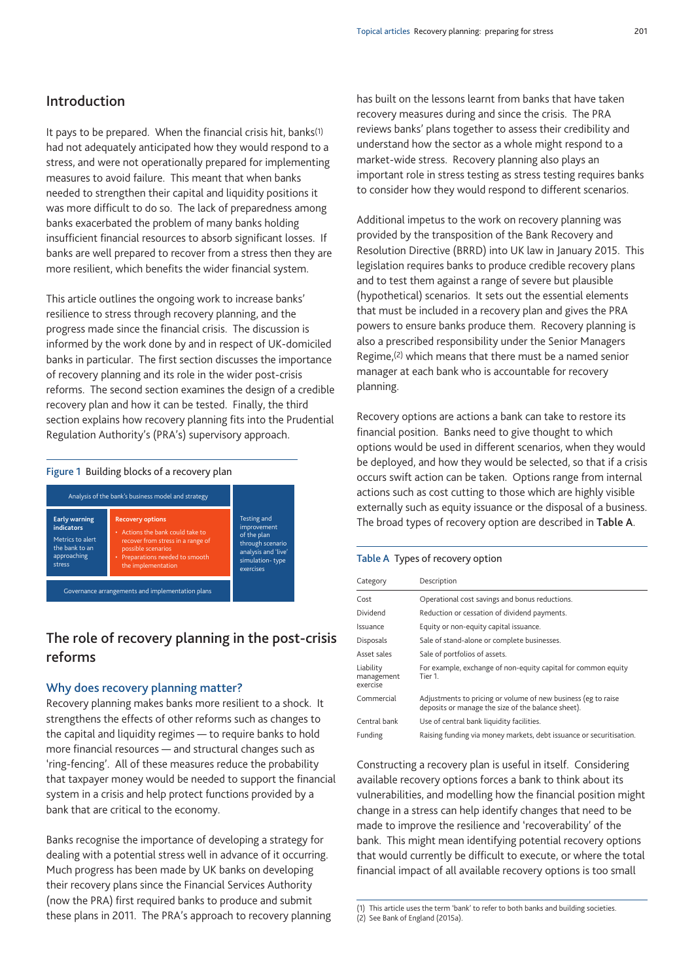# Introduction

It pays to be prepared. When the financial crisis hit, banks<sup>(1)</sup> had not adequately anticipated how they would respond to a stress, and were not operationally prepared for implementing measures to avoid failure. This meant that when banks needed to strengthen their capital and liquidity positions it was more difficult to do so. The lack of preparedness among banks exacerbated the problem of many banks holding insufficient financial resources to absorb significant losses. If banks are well prepared to recover from a stress then they are more resilient, which benefits the wider financial system.

This article outlines the ongoing work to increase banks' resilience to stress through recovery planning, and the progress made since the financial crisis. The discussion is informed by the work done by and in respect of UK-domiciled banks in particular. The first section discusses the importance of recovery planning and its role in the wider post-crisis reforms. The second section examines the design of a credible recovery plan and how it can be tested. Finally, the third section explains how recovery planning fits into the Prudential Regulation Authority's (PRA's) supervisory approach.

#### Figure 1 Building blocks of a recovery plan



# The role of recovery planning in the post-crisis reforms

#### Why does recovery planning matter?

Recovery planning makes banks more resilient to a shock. It strengthens the effects of other reforms such as changes to the capital and liquidity regimes — to require banks to hold more financial resources — and structural changes such as 'ring-fencing'. All of these measures reduce the probability that taxpayer money would be needed to support the financial system in a crisis and help protect functions provided by a bank that are critical to the economy.

Banks recognise the importance of developing a strategy for dealing with a potential stress well in advance of it occurring. Much progress has been made by UK banks on developing their recovery plans since the Financial Services Authority (now the PRA) first required banks to produce and submit these plans in 2011. The PRA's approach to recovery planning has built on the lessons learnt from banks that have taken recovery measures during and since the crisis. The PRA reviews banks' plans together to assess their credibility and understand how the sector as a whole might respond to a market-wide stress. Recovery planning also plays an important role in stress testing as stress testing requires banks to consider how they would respond to different scenarios.

Additional impetus to the work on recovery planning was provided by the transposition of the Bank Recovery and Resolution Directive (BRRD) into UK law in January 2015. This legislation requires banks to produce credible recovery plans and to test them against a range of severe but plausible (hypothetical) scenarios. It sets out the essential elements that must be included in a recovery plan and gives the PRA powers to ensure banks produce them. Recovery planning is also a prescribed responsibility under the Senior Managers Regime,(2) which means that there must be a named senior manager at each bank who is accountable for recovery planning.

Recovery options are actions a bank can take to restore its financial position. Banks need to give thought to which options would be used in different scenarios, when they would be deployed, and how they would be selected, so that if a crisis occurs swift action can be taken. Options range from internal actions such as cost cutting to those which are highly visible externally such as equity issuance or the disposal of a business. The broad types of recovery option are described in Table A.

#### Table A Types of recovery option

| Category                            | Description                                                                                                         |
|-------------------------------------|---------------------------------------------------------------------------------------------------------------------|
| Cost                                | Operational cost savings and bonus reductions.                                                                      |
| Dividend                            | Reduction or cessation of dividend payments.                                                                        |
| Issuance                            | Equity or non-equity capital issuance.                                                                              |
| <b>Disposals</b>                    | Sale of stand-alone or complete businesses.                                                                         |
| Asset sales                         | Sale of portfolios of assets.                                                                                       |
| Liability<br>management<br>exercise | For example, exchange of non-equity capital for common equity<br>Tier 1.                                            |
| Commercial                          | Adjustments to pricing or volume of new business (eg to raise<br>deposits or manage the size of the balance sheet). |
| Central bank                        | Use of central bank liquidity facilities.                                                                           |
| Funding                             | Raising funding via money markets, debt issuance or securitisation.                                                 |

Constructing a recovery plan is useful in itself. Considering available recovery options forces a bank to think about its vulnerabilities, and modelling how the financial position might change in a stress can help identify changes that need to be made to improve the resilience and 'recoverability' of the bank. This might mean identifying potential recovery options that would currently be difficult to execute, or where the total financial impact of all available recovery options is too small

<sup>(1)</sup> This article uses the term 'bank' to refer to both banks and building societies.

 $(2)$  See Bank of England (2015a).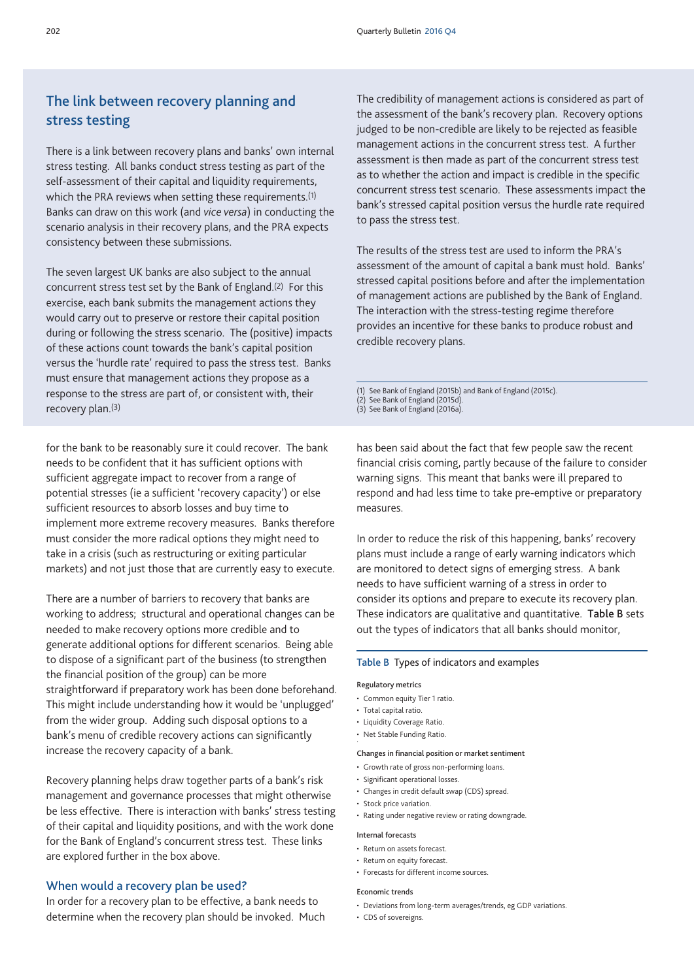# The link between recovery planning and stress testing

There is a link between recovery plans and banks' own internal stress testing. All banks conduct stress testing as part of the self-assessment of their capital and liquidity requirements, which the PRA reviews when setting these requirements.<sup>(1)</sup> Banks can draw on this work (and *vice versa*) in conducting the scenario analysis in their recovery plans, and the PRA expects consistency between these submissions.

The seven largest UK banks are also subject to the annual concurrent stress test set by the Bank of England.(2) For this exercise, each bank submits the management actions they would carry out to preserve or restore their capital position during or following the stress scenario. The (positive) impacts of these actions count towards the bank's capital position versus the 'hurdle rate' required to pass the stress test. Banks must ensure that management actions they propose as a response to the stress are part of, or consistent with, their recovery plan.(3)

for the bank to be reasonably sure it could recover. The bank needs to be confident that it has sufficient options with sufficient aggregate impact to recover from a range of potential stresses (ie a sufficient 'recovery capacity') or else sufficient resources to absorb losses and buy time to implement more extreme recovery measures. Banks therefore must consider the more radical options they might need to take in a crisis (such as restructuring or exiting particular markets) and not just those that are currently easy to execute.

There are a number of barriers to recovery that banks are working to address; structural and operational changes can be needed to make recovery options more credible and to generate additional options for different scenarios. Being able to dispose of a significant part of the business (to strengthen the financial position of the group) can be more straightforward if preparatory work has been done beforehand. This might include understanding how it would be 'unplugged' from the wider group. Adding such disposal options to a bank's menu of credible recovery actions can significantly increase the recovery capacity of a bank.

Recovery planning helps draw together parts of a bank's risk management and governance processes that might otherwise be less effective. There is interaction with banks' stress testing of their capital and liquidity positions, and with the work done for the Bank of England's concurrent stress test. These links are explored further in the box above.

#### When would a recovery plan be used?

In order for a recovery plan to be effective, a bank needs to determine when the recovery plan should be invoked. Much The credibility of management actions is considered as part of the assessment of the bank's recovery plan. Recovery options judged to be non-credible are likely to be rejected as feasible management actions in the concurrent stress test. A further assessment is then made as part of the concurrent stress test as to whether the action and impact is credible in the specific concurrent stress test scenario. These assessments impact the bank's stressed capital position versus the hurdle rate required to pass the stress test.

The results of the stress test are used to inform the PRA's assessment of the amount of capital a bank must hold. Banks' stressed capital positions before and after the implementation of management actions are published by the Bank of England. The interaction with the stress-testing regime therefore provides an incentive for these banks to produce robust and credible recovery plans.

(1) See Bank of England (2015b) and Bank of England (2015c).

- (2) See Bank of England (2015d).
- (3) See Bank of England (2016a).

has been said about the fact that few people saw the recent financial crisis coming, partly because of the failure to consider warning signs. This meant that banks were ill prepared to respond and had less time to take pre-emptive or preparatory measures.

In order to reduce the risk of this happening, banks' recovery plans must include a range of early warning indicators which are monitored to detect signs of emerging stress. A bank needs to have sufficient warning of a stress in order to consider its options and prepare to execute its recovery plan. These indicators are qualitative and quantitative. Table B sets out the types of indicators that all banks should monitor,

#### Table B Types of indicators and examples

#### Regulatory metrics

- Common equity Tier 1 ratio.
- Total capital ratio.
- Liquidity Coverage Ratio.
- Net Stable Funding Ratio.

#### Changes in financial position or market sentiment

- • Growth rate of gross non-performing loans.
- • Significant operational losses.
- • Changes in credit default swap (CDS) spread.
- • Stock price variation.
- Rating under negative review or rating downgrade.

#### Internal forecasts

- Return on assets forecast
- Return on equity forecast.
- Forecasts for different income sources.

#### Economic trends

- • Deviations from long-term averages/trends, eg GDP variations.
- CDS of sovereigns.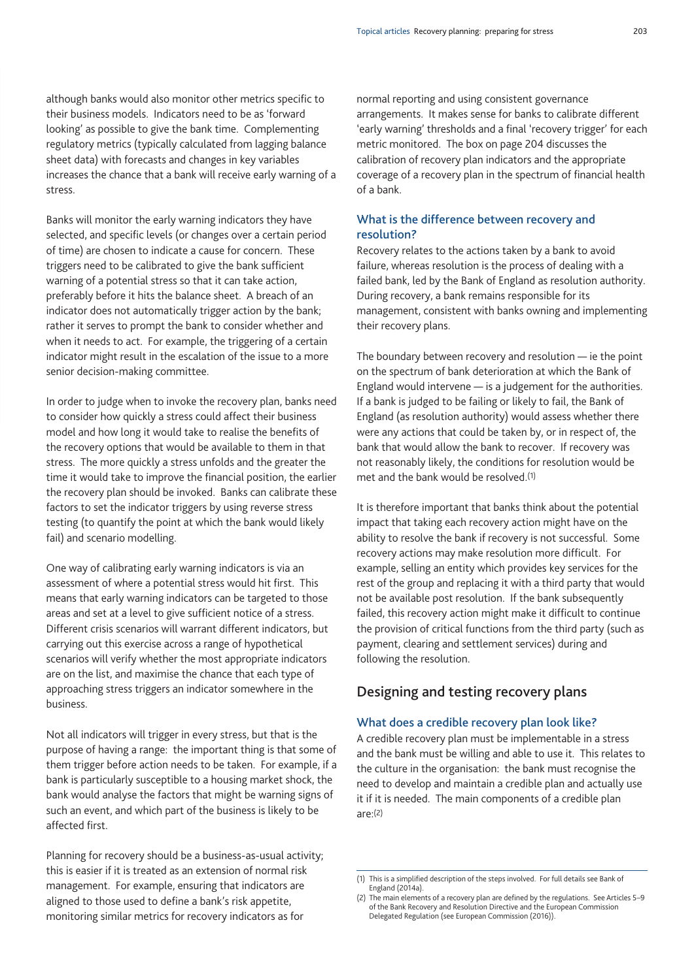although banks would also monitor other metrics specific to their business models. Indicators need to be as 'forward looking' as possible to give the bank time. Complementing regulatory metrics (typically calculated from lagging balance sheet data) with forecasts and changes in key variables increases the chance that a bank will receive early warning of a stress.

Banks will monitor the early warning indicators they have selected, and specific levels (or changes over a certain period of time) are chosen to indicate a cause for concern. These triggers need to be calibrated to give the bank sufficient warning of a potential stress so that it can take action, preferably before it hits the balance sheet. A breach of an indicator does not automatically trigger action by the bank; rather it serves to prompt the bank to consider whether and when it needs to act. For example, the triggering of a certain indicator might result in the escalation of the issue to a more senior decision-making committee.

In order to judge when to invoke the recovery plan, banks need to consider how quickly a stress could affect their business model and how long it would take to realise the benefits of the recovery options that would be available to them in that stress. The more quickly a stress unfolds and the greater the time it would take to improve the financial position, the earlier the recovery plan should be invoked. Banks can calibrate these factors to set the indicator triggers by using reverse stress testing (to quantify the point at which the bank would likely fail) and scenario modelling.

One way of calibrating early warning indicators is via an assessment of where a potential stress would hit first. This means that early warning indicators can be targeted to those areas and set at a level to give sufficient notice of a stress. Different crisis scenarios will warrant different indicators, but carrying out this exercise across a range of hypothetical scenarios will verify whether the most appropriate indicators are on the list, and maximise the chance that each type of approaching stress triggers an indicator somewhere in the business.

Not all indicators will trigger in every stress, but that is the purpose of having a range: the important thing is that some of them trigger before action needs to be taken. For example, if a bank is particularly susceptible to a housing market shock, the bank would analyse the factors that might be warning signs of such an event, and which part of the business is likely to be affected first.

Planning for recovery should be a business-as-usual activity; this is easier if it is treated as an extension of normal risk management. For example, ensuring that indicators are aligned to those used to define a bank's risk appetite, monitoring similar metrics for recovery indicators as for

normal reporting and using consistent governance arrangements. It makes sense for banks to calibrate different 'early warning' thresholds and a final 'recovery trigger' for each metric monitored. The box on page 204 discusses the calibration of recovery plan indicators and the appropriate coverage of a recovery plan in the spectrum of financial health of a bank.

## What is the difference between recovery and resolution?

Recovery relates to the actions taken by a bank to avoid failure, whereas resolution is the process of dealing with a failed bank, led by the Bank of England as resolution authority. During recovery, a bank remains responsible for its management, consistent with banks owning and implementing their recovery plans.

The boundary between recovery and resolution — ie the point on the spectrum of bank deterioration at which the Bank of England would intervene — is a judgement for the authorities. If a bank is judged to be failing or likely to fail, the Bank of England (as resolution authority) would assess whether there were any actions that could be taken by, or in respect of, the bank that would allow the bank to recover. If recovery was not reasonably likely, the conditions for resolution would be met and the bank would be resolved.(1)

It is therefore important that banks think about the potential impact that taking each recovery action might have on the ability to resolve the bank if recovery is not successful. Some recovery actions may make resolution more difficult. For example, selling an entity which provides key services for the rest of the group and replacing it with a third party that would not be available post resolution. If the bank subsequently failed, this recovery action might make it difficult to continue the provision of critical functions from the third party (such as payment, clearing and settlement services) during and following the resolution.

## Designing and testing recovery plans

#### What does a credible recovery plan look like?

A credible recovery plan must be implementable in a stress and the bank must be willing and able to use it. This relates to the culture in the organisation: the bank must recognise the need to develop and maintain a credible plan and actually use it if it is needed. The main components of a credible plan  $are:$ (2)

<sup>(1)</sup> This is a simplified description of the steps involved. For full details see Bank of England (2014a).

<sup>(2)</sup> The main elements of a recovery plan are defined by the regulations. See Articles 5-9 of the Bank Recovery and Resolution Directive and the European Commission Delegated Regulation (see European Commission (2016)).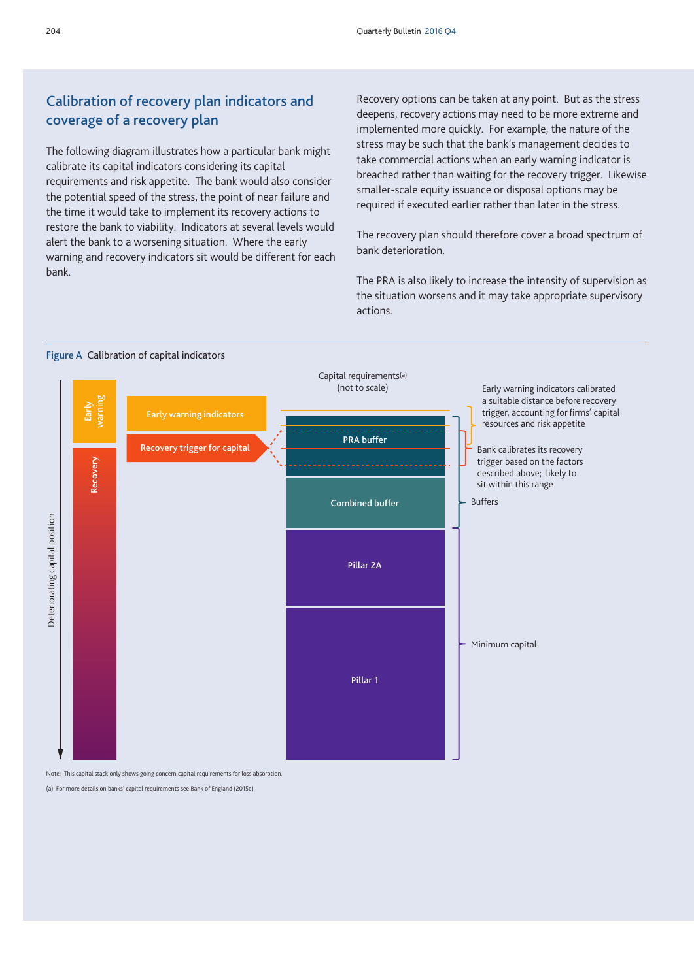# Calibration of recovery plan indicators and coverage of a recovery plan

The following diagram illustrates how a particular bank might calibrate its capital indicators considering its capital requirements and risk appetite. The bank would also consider the potential speed of the stress, the point of near failure and the time it would take to implement its recovery actions to restore the bank to viability. Indicators at several levels would alert the bank to a worsening situation. Where the early warning and recovery indicators sit would be different for each bank.

Recovery options can be taken at any point. But as the stress deepens, recovery actions may need to be more extreme and implemented more quickly. For example, the nature of the stress may be such that the bank's management decides to take commercial actions when an early warning indicator is breached rather than waiting for the recovery trigger. Likewise smaller-scale equity issuance or disposal options may be required if executed earlier rather than later in the stress.

The recovery plan should therefore cover a broad spectrum of bank deterioration.

The PRA is also likely to increase the intensity of supervision as the situation worsens and it may take appropriate supervisory actions.





Note: This capital stack only shows going concern capital requirements for loss absorption.

(a) For more details on banks' capital requirements see Bank of England (2015e).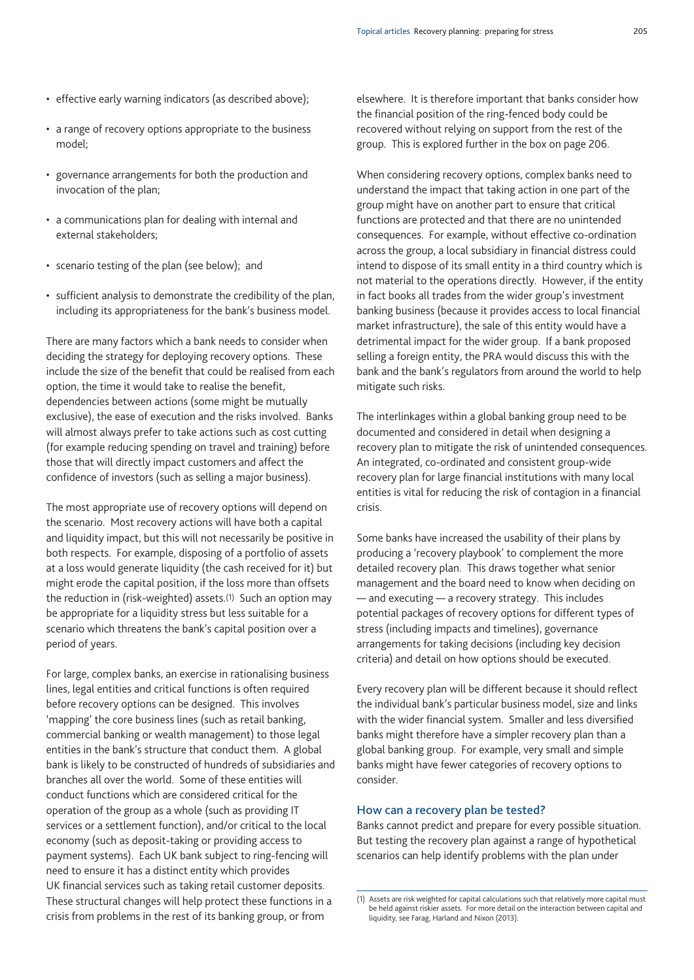- effective early warning indicators (as described above);
- a range of recovery options appropriate to the business model;
- governance arrangements for both the production and invocation of the plan;
- a communications plan for dealing with internal and external stakeholders;
- • scenario testing of the plan (see below); and
- sufficient analysis to demonstrate the credibility of the plan, including its appropriateness for the bank's business model.

There are many factors which a bank needs to consider when deciding the strategy for deploying recovery options. These include the size of the benefit that could be realised from each option, the time it would take to realise the benefit, dependencies between actions (some might be mutually exclusive), the ease of execution and the risks involved. Banks will almost always prefer to take actions such as cost cutting (for example reducing spending on travel and training) before those that will directly impact customers and affect the confidence of investors (such as selling a major business).

The most appropriate use of recovery options will depend on the scenario. Most recovery actions will have both a capital and liquidity impact, but this will not necessarily be positive in both respects. For example, disposing of a portfolio of assets at a loss would generate liquidity (the cash received for it) but might erode the capital position, if the loss more than offsets the reduction in (risk-weighted) assets.<sup>(1)</sup> Such an option may be appropriate for a liquidity stress but less suitable for a scenario which threatens the bank's capital position over a period of years.

For large, complex banks, an exercise in rationalising business lines, legal entities and critical functions is often required before recovery options can be designed. This involves 'mapping' the core business lines (such as retail banking, commercial banking or wealth management) to those legal entities in the bank's structure that conduct them. A global bank is likely to be constructed of hundreds of subsidiaries and branches all over the world. Some of these entities will conduct functions which are considered critical for the operation of the group as a whole (such as providing IT services or a settlement function), and/or critical to the local economy (such as deposit-taking or providing access to payment systems). Each UK bank subject to ring-fencing will need to ensure it has a distinct entity which provides UK financial services such as taking retail customer deposits. These structural changes will help protect these functions in a crisis from problems in the rest of its banking group, or from

elsewhere. It is therefore important that banks consider how the financial position of the ring-fenced body could be recovered without relying on support from the rest of the group. This is explored further in the box on page 206.

When considering recovery options, complex banks need to understand the impact that taking action in one part of the group might have on another part to ensure that critical functions are protected and that there are no unintended consequences. For example, without effective co-ordination across the group, a local subsidiary in financial distress could intend to dispose of its small entity in a third country which is not material to the operations directly. However, if the entity in fact books all trades from the wider group's investment banking business (because it provides access to local financial market infrastructure), the sale of this entity would have a detrimental impact for the wider group. If a bank proposed selling a foreign entity, the PRA would discuss this with the bank and the bank's regulators from around the world to help mitigate such risks.

The interlinkages within a global banking group need to be documented and considered in detail when designing a recovery plan to mitigate the risk of unintended consequences. An integrated, co-ordinated and consistent group-wide recovery plan for large financial institutions with many local entities is vital for reducing the risk of contagion in a financial crisis.

Some banks have increased the usability of their plans by producing a 'recovery playbook' to complement the more detailed recovery plan. This draws together what senior management and the board need to know when deciding on — and executing — a recovery strategy. This includes potential packages of recovery options for different types of stress (including impacts and timelines), governance arrangements for taking decisions (including key decision criteria) and detail on how options should be executed.

Every recovery plan will be different because it should reflect the individual bank's particular business model, size and links with the wider financial system. Smaller and less diversified banks might therefore have a simpler recovery plan than a global banking group. For example, very small and simple banks might have fewer categories of recovery options to consider.

#### How can a recovery plan be tested?

Banks cannot predict and prepare for every possible situation. But testing the recovery plan against a range of hypothetical scenarios can help identify problems with the plan under

<sup>(1)</sup> Assets are risk weighted for capital calculations such that relatively more capital must be held against riskier assets. For more detail on the interaction between capital and liquidity, see Farag, Harland and Nixon (2013).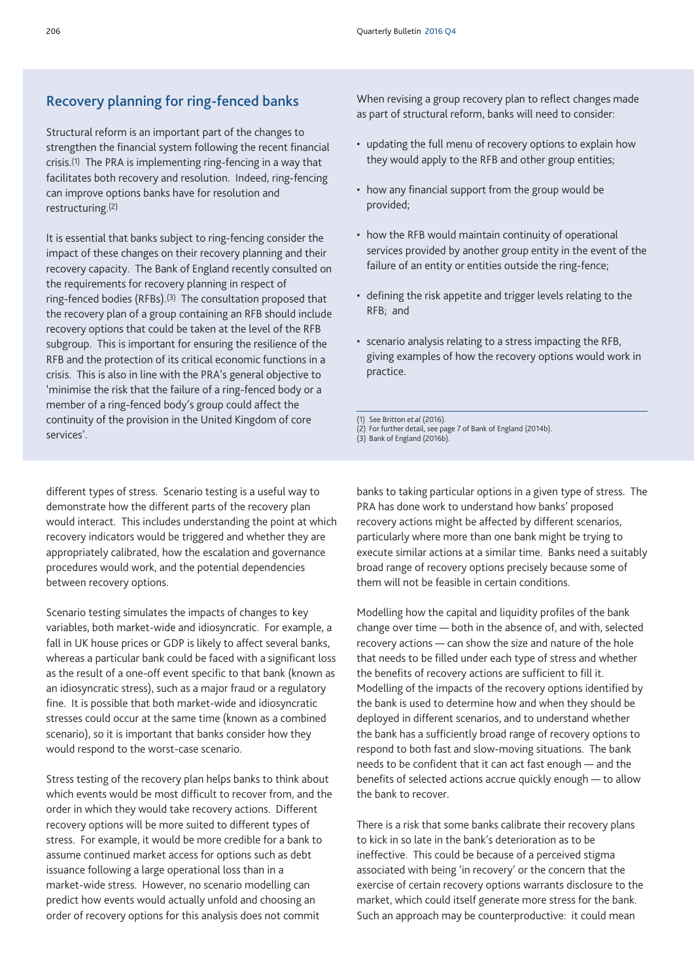# Recovery planning for ring-fenced banks

Structural reform is an important part of the changes to strengthen the financial system following the recent financial crisis.<sup>(1)</sup> The PRA is implementing ring-fencing in a way that facilitates both recovery and resolution. Indeed, ring-fencing can improve options banks have for resolution and restructuring.(2)

It is essential that banks subject to ring-fencing consider the impact of these changes on their recovery planning and their recovery capacity. The Bank of England recently consulted on the requirements for recovery planning in respect of ring-fenced bodies (RFBs).<sup>(3)</sup> The consultation proposed that the recovery plan of a group containing an RFB should include recovery options that could be taken at the level of the RFB subgroup. This is important for ensuring the resilience of the RFB and the protection of its critical economic functions in a crisis. This is also in line with the PRA's general objective to 'minimise the risk that the failure of a ring-fenced body or a member of a ring-fenced body's group could affect the continuity of the provision in the United Kingdom of core services'.

When revising a group recovery plan to reflect changes made as part of structural reform, banks will need to consider:

- updating the full menu of recovery options to explain how they would apply to the RFB and other group entities;
- how any financial support from the group would be provided;
- how the RFB would maintain continuity of operational services provided by another group entity in the event of the failure of an entity or entities outside the ring-fence;
- defining the risk appetite and trigger levels relating to the RFB; and
- • scenario analysis relating to a stress impacting the RFB, giving examples of how the recovery options would work in practice.

(1) See Britton *et al* (2016).

- (2) For further detail, see page 7 of Bank of England (2014b).
- (3) Bank of England (2016b).

different types of stress. Scenario testing is a useful way to demonstrate how the different parts of the recovery plan would interact. This includes understanding the point at which recovery indicators would be triggered and whether they are appropriately calibrated, how the escalation and governance procedures would work, and the potential dependencies between recovery options.

Scenario testing simulates the impacts of changes to key variables, both market-wide and idiosyncratic. For example, a fall in UK house prices or GDP is likely to affect several banks, whereas a particular bank could be faced with a significant loss as the result of a one-off event specific to that bank (known as an idiosyncratic stress), such as a major fraud or a regulatory fine. It is possible that both market-wide and idiosyncratic stresses could occur at the same time (known as a combined scenario), so it is important that banks consider how they would respond to the worst-case scenario.

Stress testing of the recovery plan helps banks to think about which events would be most difficult to recover from, and the order in which they would take recovery actions. Different recovery options will be more suited to different types of stress. For example, it would be more credible for a bank to assume continued market access for options such as debt issuance following a large operational loss than in a market-wide stress. However, no scenario modelling can predict how events would actually unfold and choosing an order of recovery options for this analysis does not commit

banks to taking particular options in a given type of stress. The PRA has done work to understand how banks' proposed recovery actions might be affected by different scenarios, particularly where more than one bank might be trying to execute similar actions at a similar time. Banks need a suitably broad range of recovery options precisely because some of them will not be feasible in certain conditions.

Modelling how the capital and liquidity profiles of the bank change over time — both in the absence of, and with, selected recovery actions — can show the size and nature of the hole that needs to be filled under each type of stress and whether the benefits of recovery actions are sufficient to fill it. Modelling of the impacts of the recovery options identified by the bank is used to determine how and when they should be deployed in different scenarios, and to understand whether the bank has a sufficiently broad range of recovery options to respond to both fast and slow-moving situations. The bank needs to be confident that it can act fast enough — and the benefits of selected actions accrue quickly enough — to allow the bank to recover.

There is a risk that some banks calibrate their recovery plans to kick in so late in the bank's deterioration as to be ineffective. This could be because of a perceived stigma associated with being 'in recovery' or the concern that the exercise of certain recovery options warrants disclosure to the market, which could itself generate more stress for the bank. Such an approach may be counterproductive: it could mean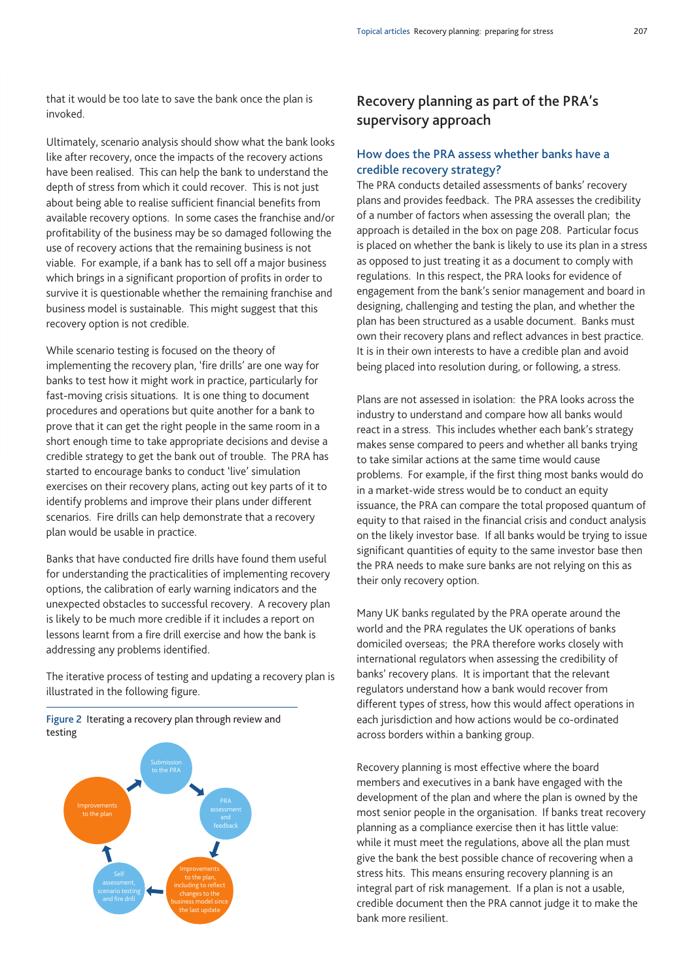that it would be too late to save the bank once the plan is invoked.

Ultimately, scenario analysis should show what the bank looks like after recovery, once the impacts of the recovery actions have been realised. This can help the bank to understand the depth of stress from which it could recover. This is not just about being able to realise sufficient financial benefits from available recovery options. In some cases the franchise and/or profitability of the business may be so damaged following the use of recovery actions that the remaining business is not viable. For example, if a bank has to sell off a major business which brings in a significant proportion of profits in order to survive it is questionable whether the remaining franchise and business model is sustainable. This might suggest that this recovery option is not credible.

While scenario testing is focused on the theory of implementing the recovery plan, 'fire drills' are one way for banks to test how it might work in practice, particularly for fast-moving crisis situations. It is one thing to document procedures and operations but quite another for a bank to prove that it can get the right people in the same room in a short enough time to take appropriate decisions and devise a credible strategy to get the bank out of trouble. The PRA has started to encourage banks to conduct 'live' simulation exercises on their recovery plans, acting out key parts of it to identify problems and improve their plans under different scenarios. Fire drills can help demonstrate that a recovery plan would be usable in practice.

Banks that have conducted fire drills have found them useful for understanding the practicalities of implementing recovery options, the calibration of early warning indicators and the unexpected obstacles to successful recovery. A recovery plan is likely to be much more credible if it includes a report on lessons learnt from a fire drill exercise and how the bank is addressing any problems identified.

The iterative process of testing and updating a recovery plan is illustrated in the following figure.

Figure 2 Iterating a recovery plan through review and testing



# Recovery planning as part of the PRA's supervisory approach

## How does the PRA assess whether banks have a credible recovery strategy?

The PRA conducts detailed assessments of banks' recovery plans and provides feedback. The PRA assesses the credibility of a number of factors when assessing the overall plan; the approach is detailed in the box on page 208. Particular focus is placed on whether the bank is likely to use its plan in a stress as opposed to just treating it as a document to comply with regulations. In this respect, the PRA looks for evidence of engagement from the bank's senior management and board in designing, challenging and testing the plan, and whether the plan has been structured as a usable document. Banks must own their recovery plans and reflect advances in best practice. It is in their own interests to have a credible plan and avoid being placed into resolution during, or following, a stress.

Plans are not assessed in isolation: the PRA looks across the industry to understand and compare how all banks would react in a stress. This includes whether each bank's strategy makes sense compared to peers and whether all banks trying to take similar actions at the same time would cause problems. For example, if the first thing most banks would do in a market-wide stress would be to conduct an equity issuance, the PRA can compare the total proposed quantum of equity to that raised in the financial crisis and conduct analysis on the likely investor base. If all banks would be trying to issue significant quantities of equity to the same investor base then the PRA needs to make sure banks are not relying on this as their only recovery option.

Many UK banks regulated by the PRA operate around the world and the PRA regulates the UK operations of banks domiciled overseas; the PRA therefore works closely with international regulators when assessing the credibility of banks' recovery plans. It is important that the relevant regulators understand how a bank would recover from different types of stress, how this would affect operations in each jurisdiction and how actions would be co-ordinated across borders within a banking group.

Recovery planning is most effective where the board members and executives in a bank have engaged with the development of the plan and where the plan is owned by the most senior people in the organisation. If banks treat recovery planning as a compliance exercise then it has little value: while it must meet the regulations, above all the plan must give the bank the best possible chance of recovering when a stress hits. This means ensuring recovery planning is an integral part of risk management. If a plan is not a usable, credible document then the PRA cannot judge it to make the bank more resilient.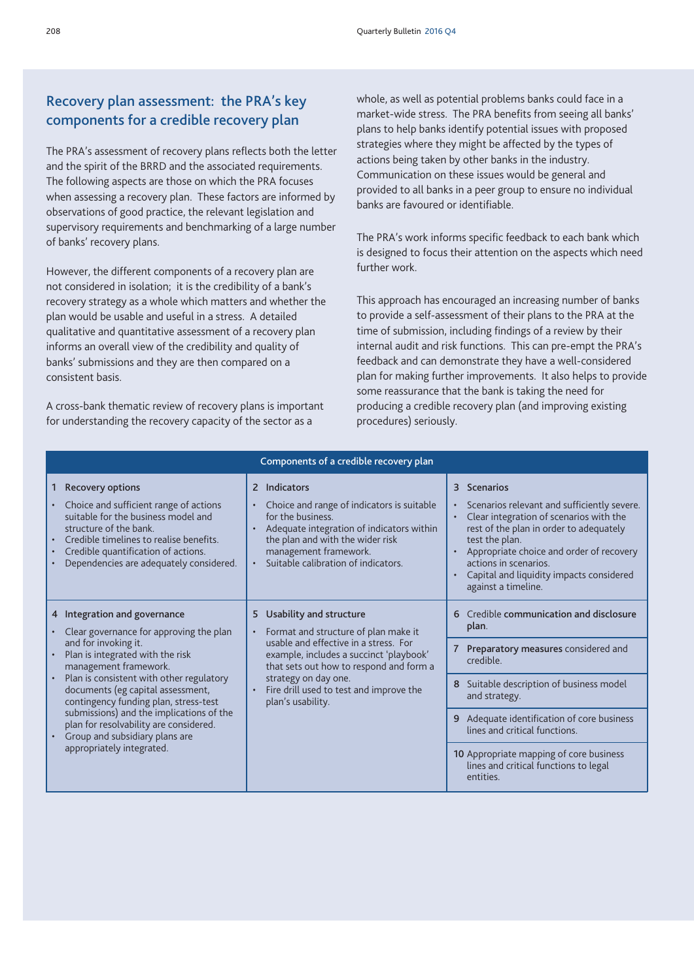# Recovery plan assessment: the PRA's key components for a credible recovery plan

The PRA's assessment of recovery plans reflects both the letter and the spirit of the BRRD and the associated requirements. The following aspects are those on which the PRA focuses when assessing a recovery plan. These factors are informed by observations of good practice, the relevant legislation and supervisory requirements and benchmarking of a large number of banks' recovery plans.

However, the different components of a recovery plan are not considered in isolation; it is the credibility of a bank's recovery strategy as a whole which matters and whether the plan would be usable and useful in a stress. A detailed qualitative and quantitative assessment of a recovery plan informs an overall view of the credibility and quality of banks' submissions and they are then compared on a consistent basis.

A cross-bank thematic review of recovery plans is important for understanding the recovery capacity of the sector as a

whole, as well as potential problems banks could face in a market-wide stress. The PRA benefits from seeing all banks' plans to help banks identify potential issues with proposed strategies where they might be affected by the types of actions being taken by other banks in the industry. Communication on these issues would be general and provided to all banks in a peer group to ensure no individual banks are favoured or identifiable.

The PRA's work informs specific feedback to each bank which is designed to focus their attention on the aspects which need further work.

This approach has encouraged an increasing number of banks to provide a self-assessment of their plans to the PRA at the time of submission, including findings of a review by their internal audit and risk functions. This can pre-empt the PRA's feedback and can demonstrate they have a well-considered plan for making further improvements. It also helps to provide some reassurance that the bank is taking the need for producing a credible recovery plan (and improving existing procedures) seriously.

| Components of a credible recovery plan                                                                                                                                                                                                                                                                                                                                                                                                      |                                                                                                                                                                                                                                                                                            |                                                                                                                                                                                                                                                                                                                                                           |  |
|---------------------------------------------------------------------------------------------------------------------------------------------------------------------------------------------------------------------------------------------------------------------------------------------------------------------------------------------------------------------------------------------------------------------------------------------|--------------------------------------------------------------------------------------------------------------------------------------------------------------------------------------------------------------------------------------------------------------------------------------------|-----------------------------------------------------------------------------------------------------------------------------------------------------------------------------------------------------------------------------------------------------------------------------------------------------------------------------------------------------------|--|
| <b>Recovery options</b><br>1.<br>Choice and sufficient range of actions<br>suitable for the business model and<br>structure of the bank.<br>Credible timelines to realise benefits.<br>Credible quantification of actions.<br>Dependencies are adequately considered.                                                                                                                                                                       | 2 Indicators<br>Choice and range of indicators is suitable<br>for the business.<br>Adequate integration of indicators within<br>the plan and with the wider risk<br>management framework.<br>Suitable calibration of indicators.                                                           | 3 Scenarios<br>Scenarios relevant and sufficiently severe.<br>Clear integration of scenarios with the<br>rest of the plan in order to adequately<br>test the plan.<br>Appropriate choice and order of recovery<br>actions in scenarios.<br>Capital and liquidity impacts considered<br>against a timeline.                                                |  |
| 4 Integration and governance<br>Clear governance for approving the plan<br>and for invoking it.<br>Plan is integrated with the risk<br>management framework.<br>Plan is consistent with other regulatory<br>documents (eg capital assessment,<br>contingency funding plan, stress-test<br>submissions) and the implications of the<br>plan for resolvability are considered.<br>Group and subsidiary plans are<br>appropriately integrated. | 5 Usability and structure<br>• Format and structure of plan make it<br>usable and effective in a stress. For<br>example, includes a succinct 'playbook'<br>that sets out how to respond and form a<br>strategy on day one.<br>Fire drill used to test and improve the<br>plan's usability. | Credible communication and disclosure<br>6<br>plan.<br>7 Preparatory measures considered and<br>credible.<br>Suitable description of business model<br>8<br>and strategy.<br>9 Adequate identification of core business<br>lines and critical functions.<br>10 Appropriate mapping of core business<br>lines and critical functions to legal<br>entities. |  |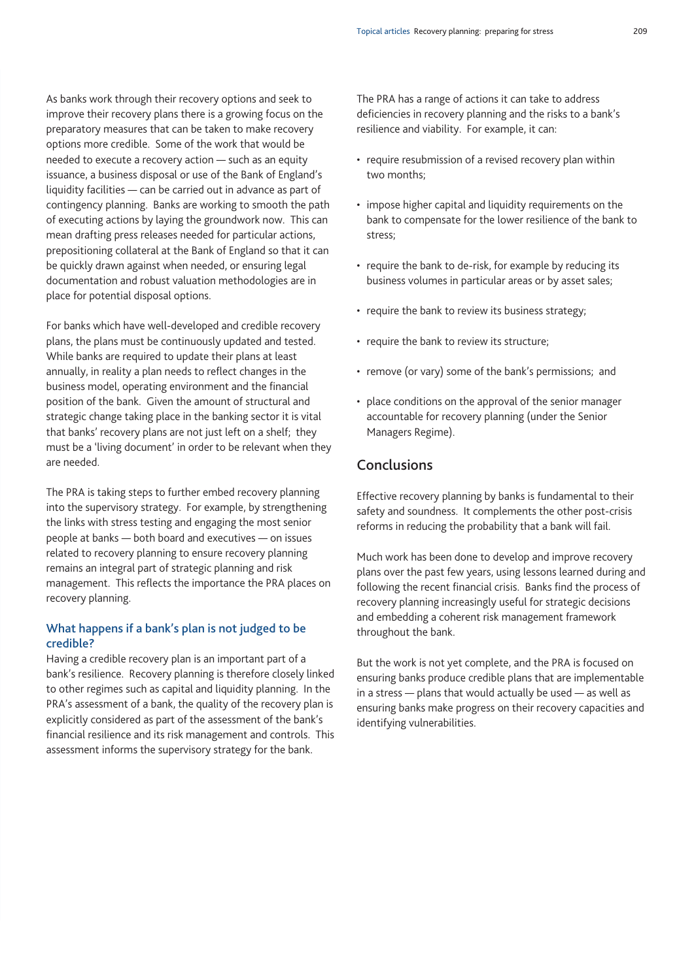As banks work through their recovery options and seek to improve their recovery plans there is a growing focus on the preparatory measures that can be taken to make recovery options more credible. Some of the work that would be needed to execute a recovery action — such as an equity issuance, a business disposal or use of the Bank of England's liquidity facilities — can be carried out in advance as part of contingency planning. Banks are working to smooth the path of executing actions by laying the groundwork now. This can mean drafting press releases needed for particular actions, prepositioning collateral at the Bank of England so that it can be quickly drawn against when needed, or ensuring legal documentation and robust valuation methodologies are in place for potential disposal options.

For banks which have well-developed and credible recovery plans, the plans must be continuously updated and tested. While banks are required to update their plans at least annually, in reality a plan needs to reflect changes in the business model, operating environment and the financial position of the bank. Given the amount of structural and strategic change taking place in the banking sector it is vital that banks' recovery plans are not just left on a shelf; they must be a 'living document' in order to be relevant when they are needed.

The PRA is taking steps to further embed recovery planning into the supervisory strategy. For example, by strengthening the links with stress testing and engaging the most senior people at banks — both board and executives — on issues related to recovery planning to ensure recovery planning remains an integral part of strategic planning and risk management. This reflects the importance the PRA places on recovery planning.

## What happens if a bank's plan is not judged to be credible?

Having a credible recovery plan is an important part of a bank's resilience. Recovery planning is therefore closely linked to other regimes such as capital and liquidity planning. In the PRA's assessment of a bank, the quality of the recovery plan is explicitly considered as part of the assessment of the bank's financial resilience and its risk management and controls. This assessment informs the supervisory strategy for the bank.

The PRA has a range of actions it can take to address deficiencies in recovery planning and the risks to a bank's resilience and viability. For example, it can:

- require resubmission of a revised recovery plan within two months;
- impose higher capital and liquidity requirements on the bank to compensate for the lower resilience of the bank to stress;
- require the bank to de-risk, for example by reducing its business volumes in particular areas or by asset sales;
- require the bank to review its business strategy;
- require the bank to review its structure;
- remove (or vary) some of the bank's permissions; and
- place conditions on the approval of the senior manager accountable for recovery planning (under the Senior Managers Regime).

## Conclusions

Effective recovery planning by banks is fundamental to their safety and soundness. It complements the other post-crisis reforms in reducing the probability that a bank will fail.

Much work has been done to develop and improve recovery plans over the past few years, using lessons learned during and following the recent financial crisis. Banks find the process of recovery planning increasingly useful for strategic decisions and embedding a coherent risk management framework throughout the bank.

But the work is not yet complete, and the PRA is focused on ensuring banks produce credible plans that are implementable in a stress — plans that would actually be used — as well as ensuring banks make progress on their recovery capacities and identifying vulnerabilities.